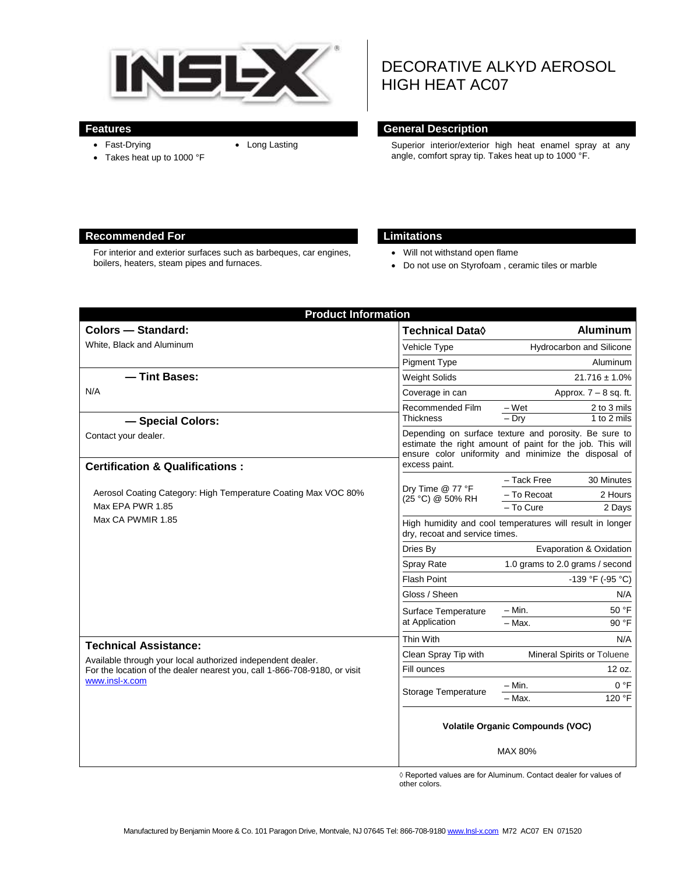

• Fast-Drying

• Takes heat up to 1000 °F

# DECORATIVE ALKYD AEROSOL HIGH HEAT AC07

#### **Features General Description**

• Long Lasting Superior interior/exterior high heat enamel spray at any angle, comfort spray tip. Takes heat up to 1000 °F.

#### **Recommended For Limitations**

For interior and exterior surfaces such as barbeques, car engines, boilers, heaters, steam pipes and furnaces.

- Will not withstand open flame
- Do not use on Styrofoam , ceramic tiles or marble

| <b>Product Information</b>                                                                                                                                                                 |                                                                                                                                                                                             |                                 |
|--------------------------------------------------------------------------------------------------------------------------------------------------------------------------------------------|---------------------------------------------------------------------------------------------------------------------------------------------------------------------------------------------|---------------------------------|
| <b>Colors - Standard:</b>                                                                                                                                                                  | <b>Technical Data</b> ♦                                                                                                                                                                     | <b>Aluminum</b>                 |
| White, Black and Aluminum                                                                                                                                                                  | Vehicle Type                                                                                                                                                                                | Hydrocarbon and Silicone        |
|                                                                                                                                                                                            | <b>Pigment Type</b>                                                                                                                                                                         | Aluminum                        |
| - Tint Bases:                                                                                                                                                                              | <b>Weight Solids</b>                                                                                                                                                                        | $21.716 \pm 1.0\%$              |
| N/A                                                                                                                                                                                        | Coverage in can                                                                                                                                                                             | Approx. $7 - 8$ sq. ft.         |
|                                                                                                                                                                                            | Recommended Film                                                                                                                                                                            | – Wet<br>2 to 3 mils            |
| - Special Colors:                                                                                                                                                                          | <b>Thickness</b>                                                                                                                                                                            | $-$ Dry<br>1 to 2 mils          |
| Contact your dealer.                                                                                                                                                                       | Depending on surface texture and porosity. Be sure to<br>estimate the right amount of paint for the job. This will<br>ensure color uniformity and minimize the disposal of<br>excess paint. |                                 |
| <b>Certification &amp; Qualifications:</b>                                                                                                                                                 |                                                                                                                                                                                             | - Tack Free<br>30 Minutes       |
| Aerosol Coating Category: High Temperature Coating Max VOC 80%<br>Max EPA PWR 1.85<br>Max CA PWMIR 1.85                                                                                    | Dry Time @ 77 °F                                                                                                                                                                            | - To Recoat<br>2 Hours          |
|                                                                                                                                                                                            | (25 °C) @ 50% RH                                                                                                                                                                            | - To Cure<br>2 Days             |
|                                                                                                                                                                                            | High humidity and cool temperatures will result in longer<br>dry, recoat and service times.                                                                                                 |                                 |
|                                                                                                                                                                                            | Dries By                                                                                                                                                                                    | Evaporation & Oxidation         |
|                                                                                                                                                                                            | <b>Spray Rate</b>                                                                                                                                                                           | 1.0 grams to 2.0 grams / second |
|                                                                                                                                                                                            | <b>Flash Point</b>                                                                                                                                                                          | $-139$ °F (-95 °C)              |
|                                                                                                                                                                                            | Gloss / Sheen                                                                                                                                                                               | N/A                             |
|                                                                                                                                                                                            | Surface Temperature<br>at Application                                                                                                                                                       | 50 °F<br>- Min.                 |
|                                                                                                                                                                                            |                                                                                                                                                                                             | $-$ Max.<br>90 °F               |
| <b>Technical Assistance:</b><br>Available through your local authorized independent dealer.<br>For the location of the dealer nearest you, call 1-866-708-9180, or visit<br>www.insl-x.com | Thin With                                                                                                                                                                                   | N/A                             |
|                                                                                                                                                                                            | Clean Spray Tip with                                                                                                                                                                        | Mineral Spirits or Toluene      |
|                                                                                                                                                                                            | Fill ounces                                                                                                                                                                                 | 12 oz.                          |
|                                                                                                                                                                                            | Storage Temperature                                                                                                                                                                         | 0 °F<br>$- Min.$                |
|                                                                                                                                                                                            |                                                                                                                                                                                             | 120 °F<br>- Max.                |
|                                                                                                                                                                                            | <b>Volatile Organic Compounds (VOC)</b><br>MAX 80%                                                                                                                                          |                                 |

◊ Reported values are for Aluminum. Contact dealer for values of other colors.